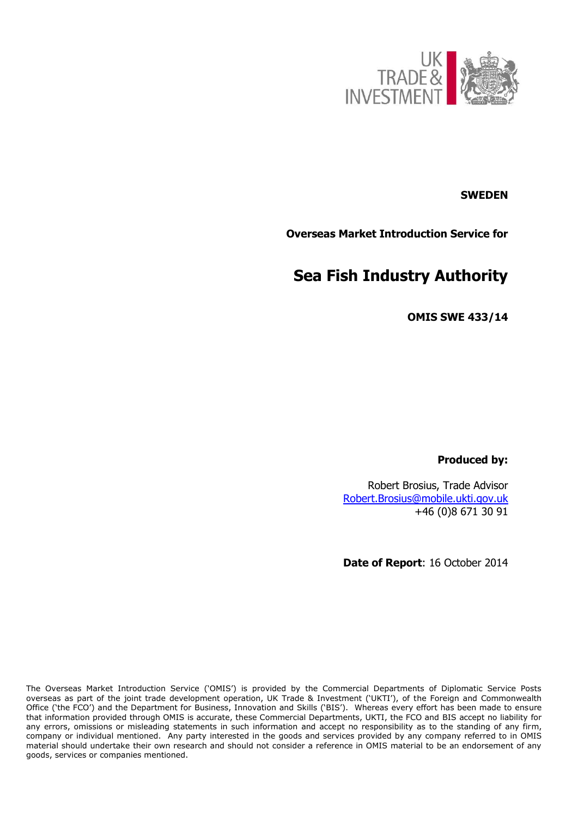

# **SWEDEN**

**Overseas Market Introduction Service for**

# **Sea Fish Industry Authority**

**OMIS SWE 433/14**

**Produced by:**

Robert Brosius, Trade Advisor [Robert.Brosius@mobile.ukti.gov.uk](mailto:Robert.Brosius@mobile.ukti.gov.uk) +46 (0)8 671 30 91

**Date of Report**: 16 October 2014

The Overseas Market Introduction Service ('OMIS') is provided by the Commercial Departments of Diplomatic Service Posts overseas as part of the joint trade development operation, UK Trade & Investment ('UKTI'), of the Foreign and Commonwealth Office ('the FCO') and the Department for Business, Innovation and Skills ('BIS'). Whereas every effort has been made to ensure that information provided through OMIS is accurate, these Commercial Departments, UKTI, the FCO and BIS accept no liability for any errors, omissions or misleading statements in such information and accept no responsibility as to the standing of any firm, company or individual mentioned. Any party interested in the goods and services provided by any company referred to in OMIS material should undertake their own research and should not consider a reference in OMIS material to be an endorsement of any goods, services or companies mentioned.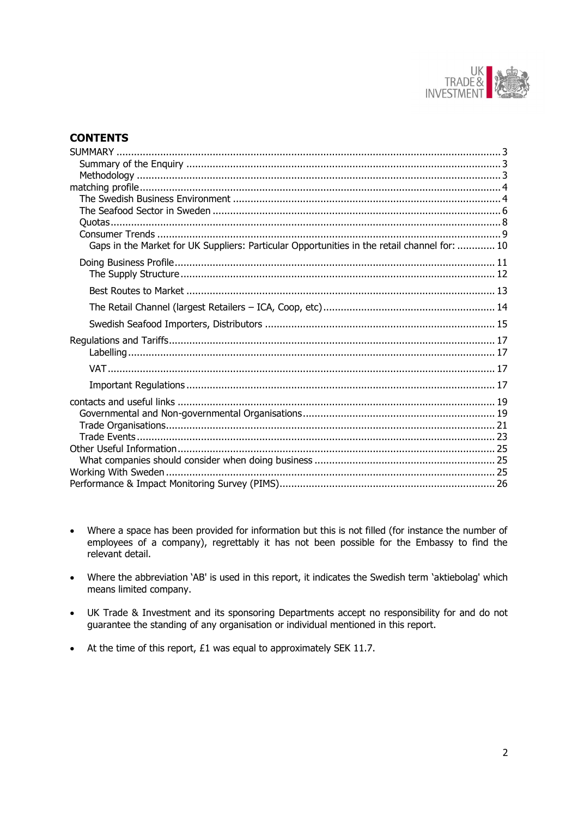

# **CONTENTS**

| Gaps in the Market for UK Suppliers: Particular Opportunities in the retail channel for:  10 |  |
|----------------------------------------------------------------------------------------------|--|
|                                                                                              |  |
|                                                                                              |  |
|                                                                                              |  |
|                                                                                              |  |
|                                                                                              |  |
|                                                                                              |  |
|                                                                                              |  |
|                                                                                              |  |
|                                                                                              |  |
|                                                                                              |  |
|                                                                                              |  |
|                                                                                              |  |
|                                                                                              |  |
|                                                                                              |  |
|                                                                                              |  |
|                                                                                              |  |
|                                                                                              |  |
|                                                                                              |  |

- Where a space has been provided for information but this is not filled (for instance the number of  $\bullet$ employees of a company), regrettably it has not been possible for the Embassy to find the relevant detail.
- Where the abbreviation 'AB' is used in this report, it indicates the Swedish term 'aktiebolag' which means limited company.
- UK Trade & Investment and its sponsoring Departments accept no responsibility for and do not quarantee the standing of any organisation or individual mentioned in this report.
- At the time of this report, £1 was equal to approximately SEK 11.7.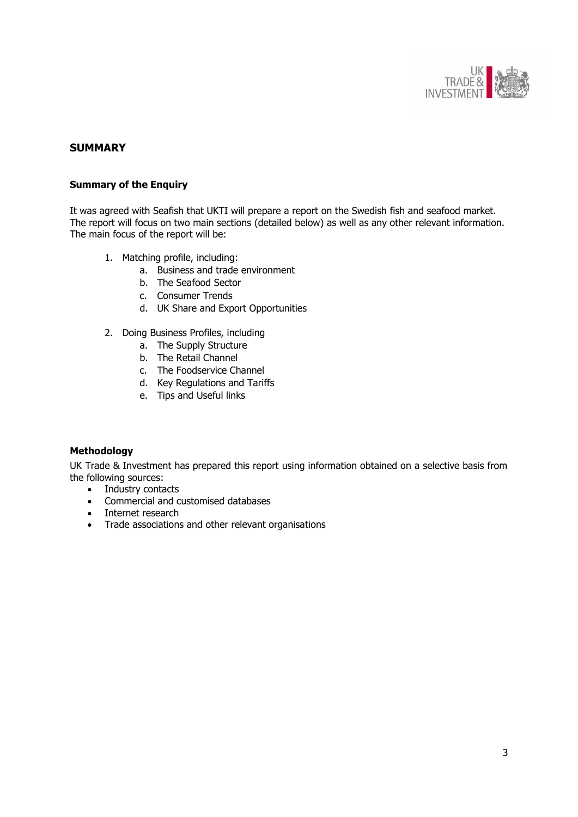

# <span id="page-2-0"></span>**SUMMARY**

### <span id="page-2-1"></span>**Summary of the Enquiry**

It was agreed with Seafish that UKTI will prepare a report on the Swedish fish and seafood market. The report will focus on two main sections (detailed below) as well as any other relevant information. The main focus of the report will be:

- 1. Matching profile, including:
	- a. Business and trade environment
	- b. The Seafood Sector
	- c. Consumer Trends
	- d. UK Share and Export Opportunities
- 2. Doing Business Profiles, including
	- a. The Supply Structure
	- b. The Retail Channel
	- c. The Foodservice Channel
	- d. Key Regulations and Tariffs
	- e. Tips and Useful links

### <span id="page-2-2"></span>**Methodology**

UK Trade & Investment has prepared this report using information obtained on a selective basis from the following sources:

- Industry contacts
- Commercial and customised databases
- Internet research
- Trade associations and other relevant organisations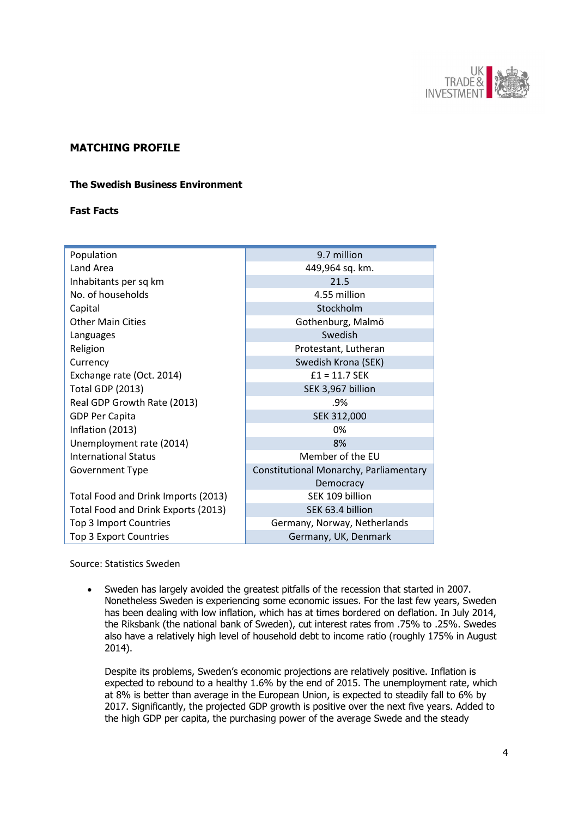

# <span id="page-3-0"></span>**MATCHING PROFILE**

### <span id="page-3-1"></span>**The Swedish Business Environment**

### **Fast Facts**

| Population                          | 9.7 million                            |
|-------------------------------------|----------------------------------------|
| Land Area                           | 449,964 sq. km.                        |
| Inhabitants per sq km               | 21.5                                   |
| No. of households                   | 4.55 million                           |
| Capital                             | Stockholm                              |
| <b>Other Main Cities</b>            | Gothenburg, Malmö                      |
| Languages                           | Swedish                                |
| Religion                            | Protestant, Lutheran                   |
| Currency                            | Swedish Krona (SEK)                    |
| Exchange rate (Oct. 2014)           | $£1 = 11.7$ SEK                        |
| <b>Total GDP (2013)</b>             | SEK 3,967 billion                      |
| Real GDP Growth Rate (2013)         | .9%                                    |
| <b>GDP Per Capita</b>               | SEK 312,000                            |
| Inflation (2013)                    | 0%                                     |
| Unemployment rate (2014)            | 8%                                     |
| <b>International Status</b>         | Member of the EU                       |
| Government Type                     | Constitutional Monarchy, Parliamentary |
|                                     | Democracy                              |
| Total Food and Drink Imports (2013) | SEK 109 billion                        |
| Total Food and Drink Exports (2013) | SEK 63.4 billion                       |
| Top 3 Import Countries              | Germany, Norway, Netherlands           |
| Top 3 Export Countries              | Germany, UK, Denmark                   |

Source: Statistics Sweden

 Sweden has largely avoided the greatest pitfalls of the recession that started in 2007. Nonetheless Sweden is experiencing some economic issues. For the last few years, Sweden has been dealing with low inflation, which has at times bordered on deflation. In July 2014, the Riksbank (the national bank of Sweden), cut interest rates from .75% to .25%. Swedes also have a relatively high level of household debt to income ratio (roughly 175% in August 2014).

Despite its problems, Sweden's economic projections are relatively positive. Inflation is expected to rebound to a healthy 1.6% by the end of 2015. The unemployment rate, which at 8% is better than average in the European Union, is expected to steadily fall to 6% by 2017. Significantly, the projected GDP growth is positive over the next five years. Added to the high GDP per capita, the purchasing power of the average Swede and the steady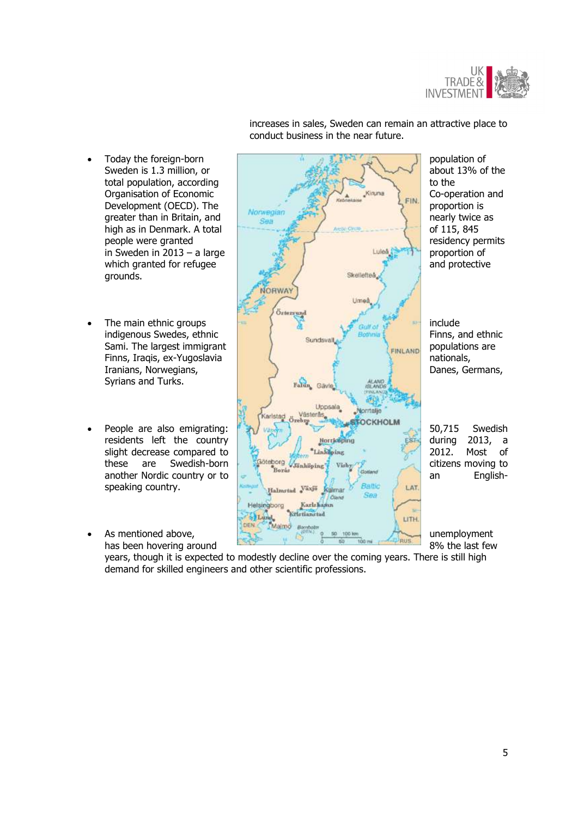

- grounds.
- Syrians and Turks.
- speaking country.
- 



increases in sales, Sweden can remain an attractive place to conduct business in the near future.

years, though it is expected to modestly decline over the coming years. There is still high demand for skilled engineers and other scientific professions.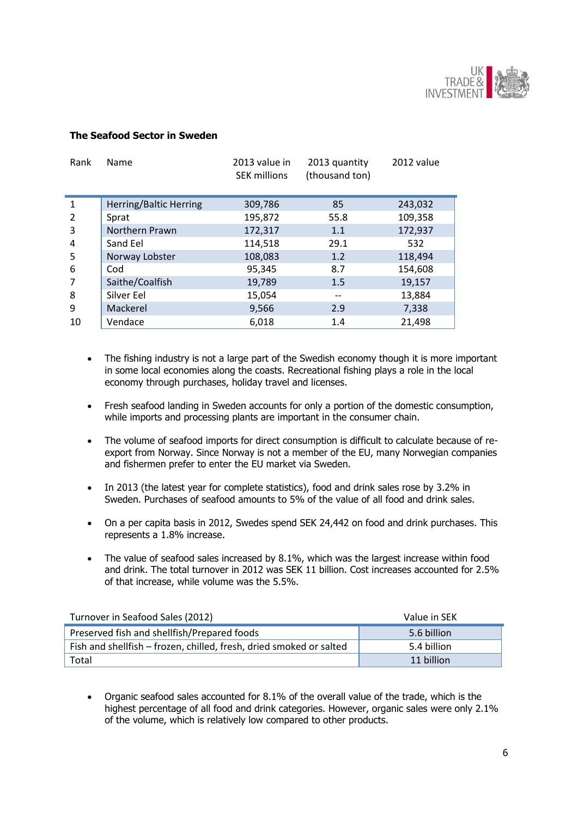

### <span id="page-5-0"></span>**The Seafood Sector in Sweden**

| Rank | Name                   | 2013 value in<br><b>SEK millions</b> | 2013 quantity<br>(thousand ton) | 2012 value |
|------|------------------------|--------------------------------------|---------------------------------|------------|
| 1    | Herring/Baltic Herring | 309,786                              | 85                              | 243,032    |
| 2    | Sprat                  | 195,872                              | 55.8                            | 109,358    |
| 3    | Northern Prawn         | 172,317                              | 1.1                             | 172,937    |
| 4    | Sand Eel               | 114,518                              | 29.1                            | 532        |
| 5    | Norway Lobster         | 108,083                              | 1.2                             | 118,494    |
| 6    | Cod                    | 95,345                               | 8.7                             | 154,608    |
| 7    | Saithe/Coalfish        | 19,789                               | 1.5                             | 19,157     |
| 8    | Silver Eel             | 15,054                               |                                 | 13,884     |
| 9    | Mackerel               | 9,566                                | 2.9                             | 7,338      |
| 10   | Vendace                | 6,018                                | 1.4                             | 21,498     |

- The fishing industry is not a large part of the Swedish economy though it is more important in some local economies along the coasts. Recreational fishing plays a role in the local economy through purchases, holiday travel and licenses.
- Fresh seafood landing in Sweden accounts for only a portion of the domestic consumption, while imports and processing plants are important in the consumer chain.
- The volume of seafood imports for direct consumption is difficult to calculate because of reexport from Norway. Since Norway is not a member of the EU, many Norwegian companies and fishermen prefer to enter the EU market via Sweden.
- In 2013 (the latest year for complete statistics), food and drink sales rose by 3.2% in Sweden. Purchases of seafood amounts to 5% of the value of all food and drink sales.
- On a per capita basis in 2012, Swedes spend SEK 24,442 on food and drink purchases. This represents a 1.8% increase.
- The value of seafood sales increased by 8.1%, which was the largest increase within food and drink. The total turnover in 2012 was SEK 11 billion. Cost increases accounted for 2.5% of that increase, while volume was the 5.5%.

| Turnover in Seafood Sales (2012)                                    | Value in SEK |
|---------------------------------------------------------------------|--------------|
| Preserved fish and shellfish/Prepared foods                         | 5.6 billion  |
| Fish and shellfish – frozen, chilled, fresh, dried smoked or salted | 5.4 billion  |
| Total                                                               | 11 billion   |

 Organic seafood sales accounted for 8.1% of the overall value of the trade, which is the highest percentage of all food and drink categories. However, organic sales were only 2.1% of the volume, which is relatively low compared to other products.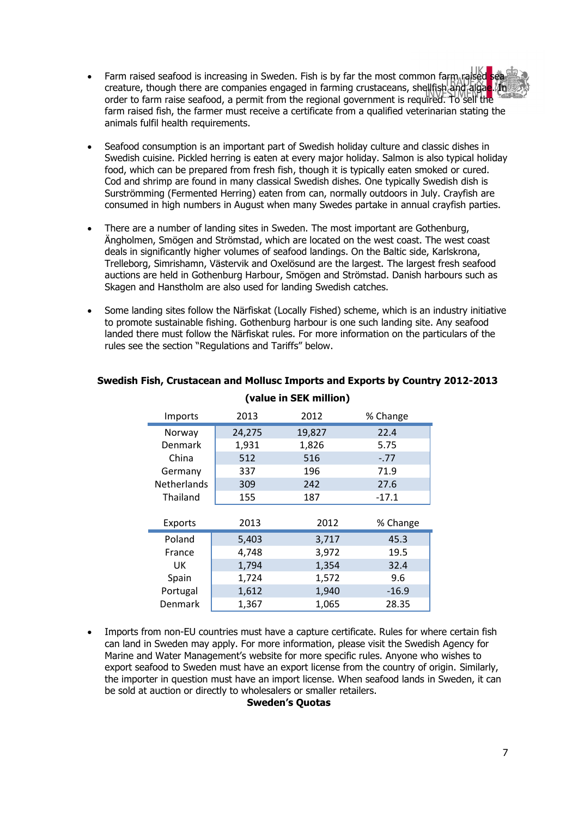- Farm raised seafood is increasing in Sweden. Fish is by far the most common farm raised sea creature, though there are companies engaged in farming crustaceans, shellfish and algae. In order to farm raise seafood, a permit from the regional government is required. To sell the farm raised fish, the farmer must receive a certificate from a qualified veterinarian stating the animals fulfil health requirements.
- Seafood consumption is an important part of Swedish holiday culture and classic dishes in Swedish cuisine. Pickled herring is eaten at every major holiday. Salmon is also typical holiday food, which can be prepared from fresh fish, though it is typically eaten smoked or cured. Cod and shrimp are found in many classical Swedish dishes. One typically Swedish dish is Surströmming (Fermented Herring) eaten from can, normally outdoors in July. Crayfish are consumed in high numbers in August when many Swedes partake in annual crayfish parties.
- There are a number of landing sites in Sweden. The most important are Gothenburg, Ängholmen, Smögen and Strömstad, which are located on the west coast. The west coast deals in significantly higher volumes of seafood landings. On the Baltic side, Karlskrona, Trelleborg, Simrishamn, Västervik and Oxelösund are the largest. The largest fresh seafood auctions are held in Gothenburg Harbour, Smögen and Strömstad. Danish harbours such as Skagen and Hanstholm are also used for landing Swedish catches.
- Some landing sites follow the Närfiskat (Locally Fished) scheme, which is an industry initiative to promote sustainable fishing. Gothenburg harbour is one such landing site. Any seafood landed there must follow the Närfiskat rules. For more information on the particulars of the rules see the section "Regulations and Tariffs" below.

| Imports            | 2013   | 2012   | % Change |
|--------------------|--------|--------|----------|
| Norway             | 24,275 | 19,827 | 22.4     |
| Denmark            | 1,931  | 1,826  | 5.75     |
| China              | 512    | 516    | $-.77$   |
| Germany            | 337    | 196    | 71.9     |
| <b>Netherlands</b> | 309    | 242    | 27.6     |
| Thailand           | 155    | 187    | $-17.1$  |
|                    |        |        |          |
| <b>Exports</b>     | 2013   | 2012   | % Change |
| Poland             | 5,403  | 3,717  | 45.3     |
| France             | 4,748  | 3,972  | 19.5     |
| UK                 | 1,794  | 1,354  | 32.4     |
| Spain              | 1,724  | 1,572  | 9.6      |
| Portugal           | 1,612  | 1,940  | $-16.9$  |
| Denmark            | 1,367  | 1,065  | 28.35    |

# **Swedish Fish, Crustacean and Mollusc Imports and Exports by Country 2012-2013 (value in SEK million)**

 Imports from non-EU countries must have a capture certificate. Rules for where certain fish can land in Sweden may apply. For more information, please visit the Swedish Agency for Marine and Water Management's website for more specific rules. Anyone who wishes to export seafood to Sweden must have an export license from the country of origin. Similarly, the importer in question must have an import license. When seafood lands in Sweden, it can be sold at auction or directly to wholesalers or smaller retailers.

#### **Sweden's Quotas**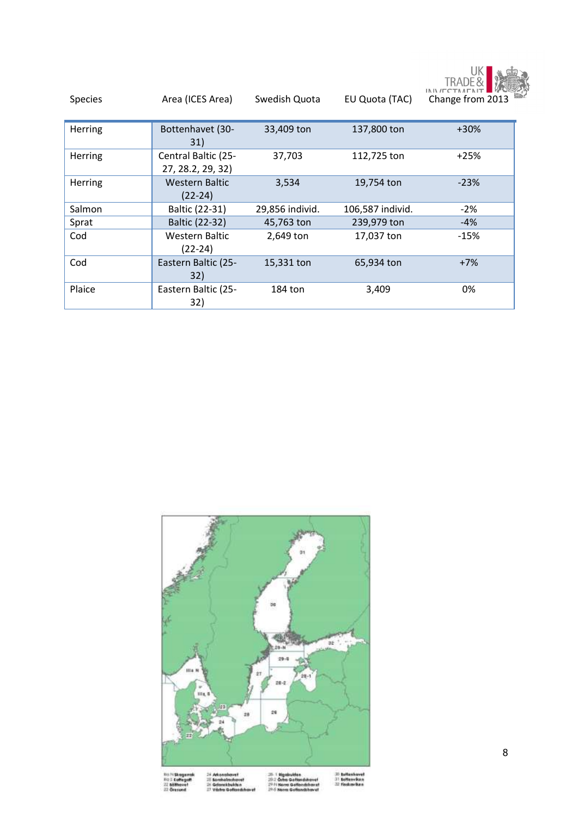

<span id="page-7-0"></span>

| <b>Species</b> | Area (ICES Area)                         | Swedish Quota   | EU Quota (TAC)   | <b>TRADE&amp;</b><br>INIVITC<br>Change from 2013 |
|----------------|------------------------------------------|-----------------|------------------|--------------------------------------------------|
| Herring        | Bottenhavet (30-<br>31)                  | 33,409 ton      | 137,800 ton      | $+30%$                                           |
| Herring        | Central Baltic (25-<br>27, 28.2, 29, 32) | 37,703          | 112,725 ton      | $+25%$                                           |
| Herring        | <b>Western Baltic</b><br>(22-24)         | 3,534           | 19,754 ton       | $-23%$                                           |
| Salmon         | Baltic (22-31)                           | 29,856 individ. | 106,587 individ. | $-2\%$                                           |
| Sprat          | Baltic (22-32)                           | 45,763 ton      | 239,979 ton      | $-4%$                                            |
| Cod            | <b>Western Baltic</b><br>(22-24)         | 2,649 ton       | 17,037 ton       | $-15%$                                           |
| Cod            | Eastern Baltic (25-<br>32)               | 15,331 ton      | 65,934 ton       | $+7%$                                            |
| Plaice         | Eastern Baltic (25-<br>32)               | 184 ton         | 3,409            | 0%                                               |

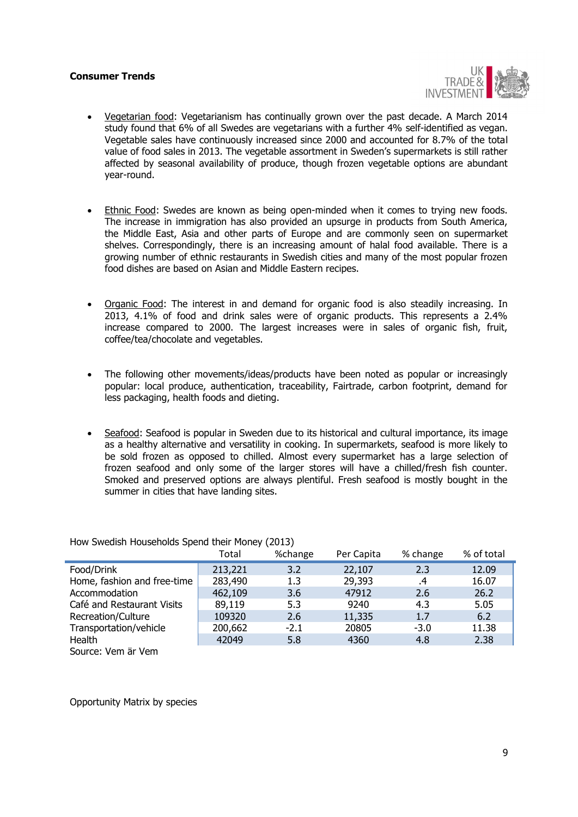### <span id="page-8-0"></span>**Consumer Trends**



- Vegetarian food: Vegetarianism has continually grown over the past decade. A March 2014 study found that 6% of all Swedes are vegetarians with a further 4% self-identified as vegan. Vegetable sales have continuously increased since 2000 and accounted for 8.7% of the total value of food sales in 2013. The vegetable assortment in Sweden's supermarkets is still rather affected by seasonal availability of produce, though frozen vegetable options are abundant year-round.
- Ethnic Food: Swedes are known as being open-minded when it comes to trying new foods. The increase in immigration has also provided an upsurge in products from South America, the Middle East, Asia and other parts of Europe and are commonly seen on supermarket shelves. Correspondingly, there is an increasing amount of halal food available. There is a growing number of ethnic restaurants in Swedish cities and many of the most popular frozen food dishes are based on Asian and Middle Eastern recipes.
- Organic Food: The interest in and demand for organic food is also steadily increasing. In 2013, 4.1% of food and drink sales were of organic products. This represents a 2.4% increase compared to 2000. The largest increases were in sales of organic fish, fruit, coffee/tea/chocolate and vegetables.
- The following other movements/ideas/products have been noted as popular or increasingly popular: local produce, authentication, traceability, Fairtrade, carbon footprint, demand for less packaging, health foods and dieting.
- Seafood: Seafood is popular in Sweden due to its historical and cultural importance, its image as a healthy alternative and versatility in cooking. In supermarkets, seafood is more likely to be sold frozen as opposed to chilled. Almost every supermarket has a large selection of frozen seafood and only some of the larger stores will have a chilled/fresh fish counter. Smoked and preserved options are always plentiful. Fresh seafood is mostly bought in the summer in cities that have landing sites.

|                             | Total   | %change | Per Capita | % change | % of total |
|-----------------------------|---------|---------|------------|----------|------------|
| Food/Drink                  | 213,221 | 3.2     | 22,107     | 2.3      | 12.09      |
| Home, fashion and free-time | 283,490 | 1.3     | 29,393     | .4       | 16.07      |
| Accommodation               | 462,109 | 3.6     | 47912      | 2.6      | 26.2       |
| Café and Restaurant Visits  | 89,119  | 5.3     | 9240       | 4.3      | 5.05       |
| Recreation/Culture          | 109320  | 2.6     | 11,335     | 1.7      | 6.2        |
| Transportation/vehicle      | 200,662 | $-2.1$  | 20805      | $-3.0$   | 11.38      |
| Health                      | 42049   | 5.8     | 4360       | 4.8      | 2.38       |
| Source: Vem är Vem          |         |         |            |          |            |

How Swedish Households Spend their Money (2013)

Opportunity Matrix by species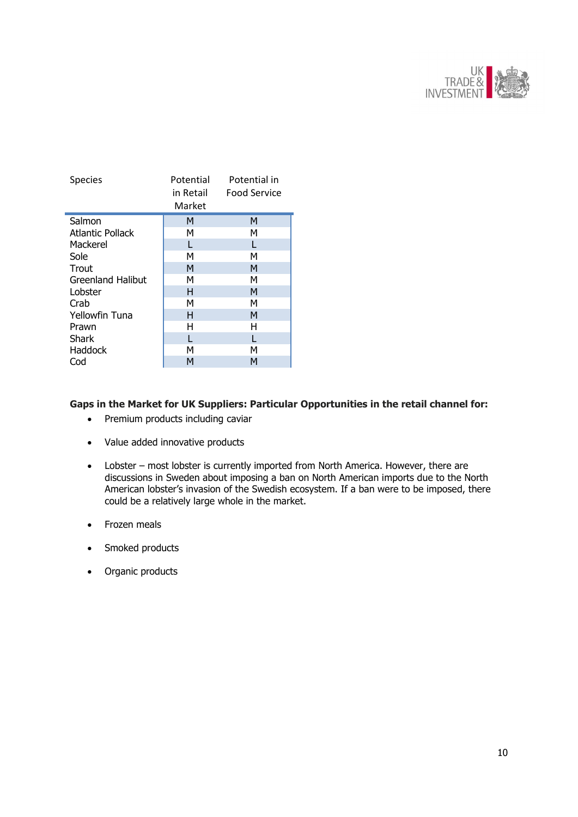

| <b>Species</b>        | Potential<br>in Retail<br>Market | Potential in<br>Food Service |
|-----------------------|----------------------------------|------------------------------|
| Salmon                | м                                | М                            |
| Atlantic Pollack      | м                                | м                            |
| Mackerel              |                                  |                              |
| Sole                  | м                                | м                            |
| Trout                 | M                                | M                            |
| Greenland Halibut     | м                                | м                            |
| Lobster               | н                                | M                            |
| Crab                  | м                                | м                            |
| <b>Yellowfin Tuna</b> | н                                | M                            |
| Prawn                 | н                                | Н                            |
| <b>Shark</b>          |                                  |                              |
| Haddock               | м                                | м                            |
| Cod                   | м                                | м                            |

# <span id="page-9-0"></span>**Gaps in the Market for UK Suppliers: Particular Opportunities in the retail channel for:**

- Premium products including caviar
- Value added innovative products
- Lobster most lobster is currently imported from North America. However, there are discussions in Sweden about imposing a ban on North American imports due to the North American lobster's invasion of the Swedish ecosystem. If a ban were to be imposed, there could be a relatively large whole in the market.
- Frozen meals
- Smoked products
- Organic products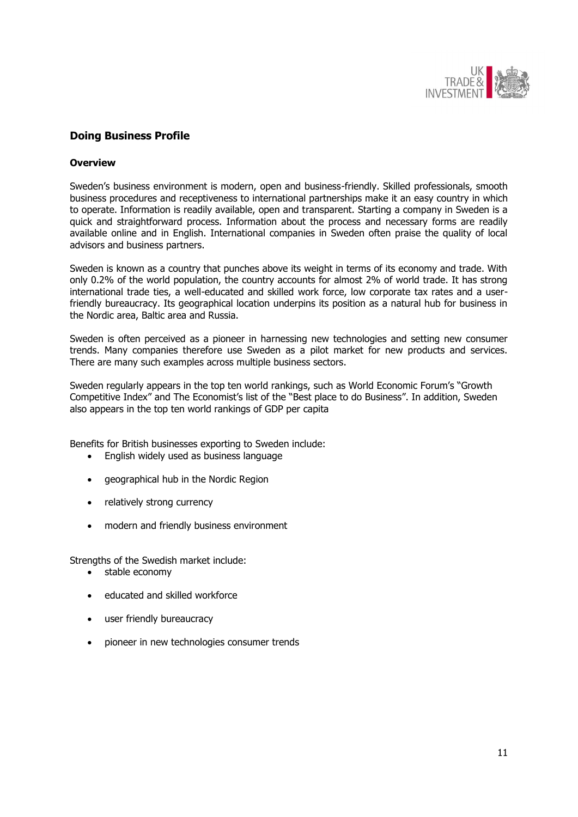

# <span id="page-10-0"></span>**Doing Business Profile**

### **Overview**

Sweden's business environment is modern, open and business-friendly. Skilled professionals, smooth business procedures and receptiveness to international partnerships make it an easy country in which to operate. Information is readily available, open and transparent. Starting a company in Sweden is a quick and straightforward process. Information about the process and necessary forms are readily available online and in English. International companies in Sweden often praise the quality of local advisors and business partners.

Sweden is known as a country that punches above its weight in terms of its economy and trade. With only 0.2% of the world population, the country accounts for almost 2% of world trade. It has strong international trade ties, a well-educated and skilled work force, low corporate tax rates and a userfriendly bureaucracy. Its geographical location underpins its position as a natural hub for business in the Nordic area, Baltic area and Russia.

Sweden is often perceived as a pioneer in harnessing new technologies and setting new consumer trends. Many companies therefore use Sweden as a pilot market for new products and services. There are many such examples across multiple business sectors.

Sweden regularly appears in the top ten world rankings, such as World Economic Forum's "Growth Competitive Index" and The Economist's list of the "Best place to do Business". In addition, Sweden also appears in the top ten world rankings of GDP per capita

Benefits for British businesses exporting to Sweden include:

- English widely used as business language
- aeographical hub in the Nordic Region
- relatively strong currency
- modern and friendly business environment

Strengths of the Swedish market include:

- stable economy
- educated and skilled workforce
- user friendly bureaucracy
- pioneer in new technologies consumer trends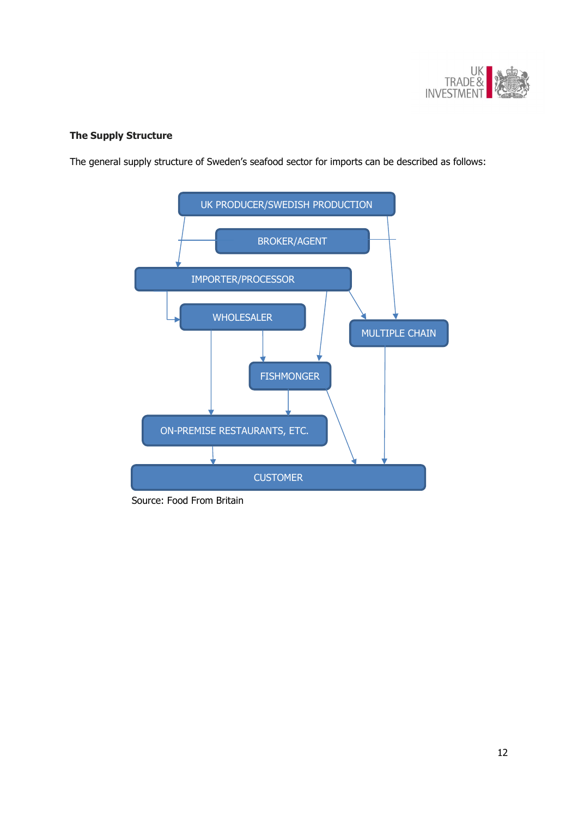

# <span id="page-11-0"></span>**The Supply Structure**

The general supply structure of Sweden's seafood sector for imports can be described as follows:



Source: Food From Britain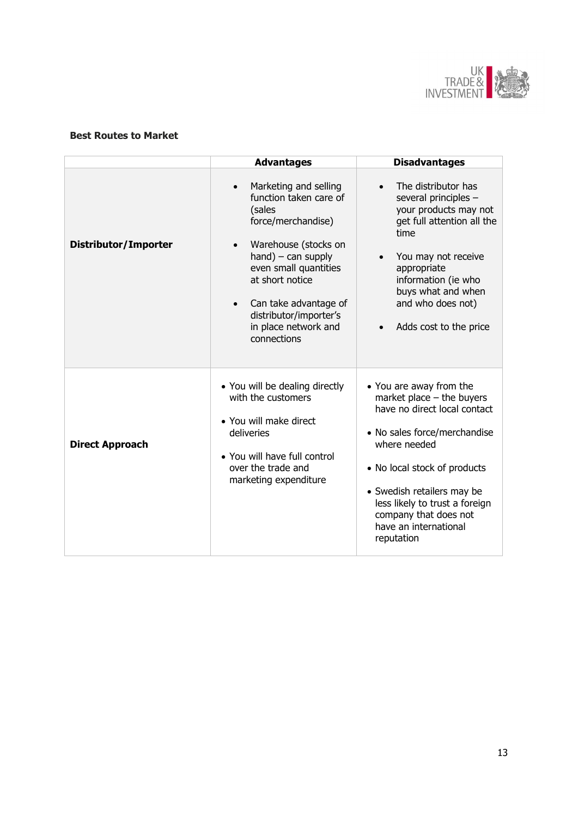

# <span id="page-12-0"></span>**Best Routes to Market**

|                        | <b>Advantages</b>                                                                                                                                                                                                                                                    | <b>Disadvantages</b>                                                                                                                                                                                                                                                                                   |
|------------------------|----------------------------------------------------------------------------------------------------------------------------------------------------------------------------------------------------------------------------------------------------------------------|--------------------------------------------------------------------------------------------------------------------------------------------------------------------------------------------------------------------------------------------------------------------------------------------------------|
| Distributor/Importer   | Marketing and selling<br>function taken care of<br>(sales<br>force/merchandise)<br>Warehouse (stocks on<br>$hand$ – can supply<br>even small quantities<br>at short notice<br>Can take advantage of<br>distributor/importer's<br>in place network and<br>connections | The distributor has<br>several principles -<br>your products may not<br>get full attention all the<br>time<br>You may not receive<br>appropriate<br>information (ie who<br>buys what and when<br>and who does not)<br>Adds cost to the price<br>$\bullet$                                              |
| <b>Direct Approach</b> | • You will be dealing directly<br>with the customers<br>• You will make direct<br>deliveries<br>• You will have full control<br>over the trade and<br>marketing expenditure                                                                                          | • You are away from the<br>market place $-$ the buyers<br>have no direct local contact<br>• No sales force/merchandise<br>where needed<br>• No local stock of products<br>• Swedish retailers may be<br>less likely to trust a foreign<br>company that does not<br>have an international<br>reputation |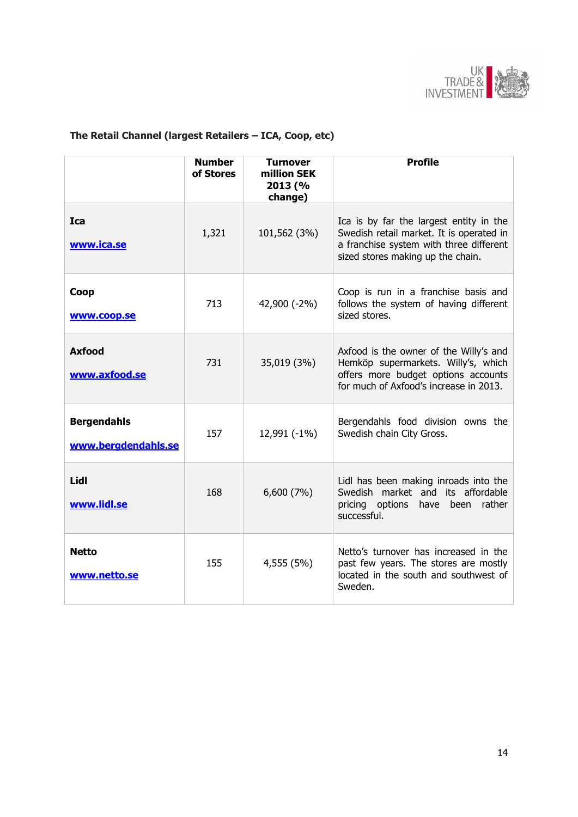

# <span id="page-13-0"></span>**The Retail Channel (largest Retailers – ICA, Coop, etc)**

|                                           | <b>Number</b><br>of Stores | <b>Turnover</b><br>million SEK<br>2013 (%<br>change) | <b>Profile</b>                                                                                                                                                      |
|-------------------------------------------|----------------------------|------------------------------------------------------|---------------------------------------------------------------------------------------------------------------------------------------------------------------------|
| <b>Ica</b><br>www.ica.se                  | 1,321                      | 101,562 (3%)                                         | Ica is by far the largest entity in the<br>Swedish retail market. It is operated in<br>a franchise system with three different<br>sized stores making up the chain. |
| Coop<br>www.coop.se                       | 713                        | 42,900 (-2%)                                         | Coop is run in a franchise basis and<br>follows the system of having different<br>sized stores.                                                                     |
| <b>Axfood</b><br>www.axfood.se            | 731                        | 35,019 (3%)                                          | Axfood is the owner of the Willy's and<br>Hemköp supermarkets. Willy's, which<br>offers more budget options accounts<br>for much of Axfood's increase in 2013.      |
| <b>Bergendahls</b><br>www.bergdendahls.se | 157                        | 12,991 (-1%)                                         | Bergendahls food division owns the<br>Swedish chain City Gross.                                                                                                     |
| Lidl<br>www.lidl.se                       | 168                        | 6,600 (7%)                                           | Lidl has been making inroads into the<br>Swedish market and its affordable<br>pricing options have been<br>rather<br>successful.                                    |
| <b>Netto</b><br>www.netto.se              | 155                        | 4,555 (5%)                                           | Netto's turnover has increased in the<br>past few years. The stores are mostly<br>located in the south and southwest of<br>Sweden.                                  |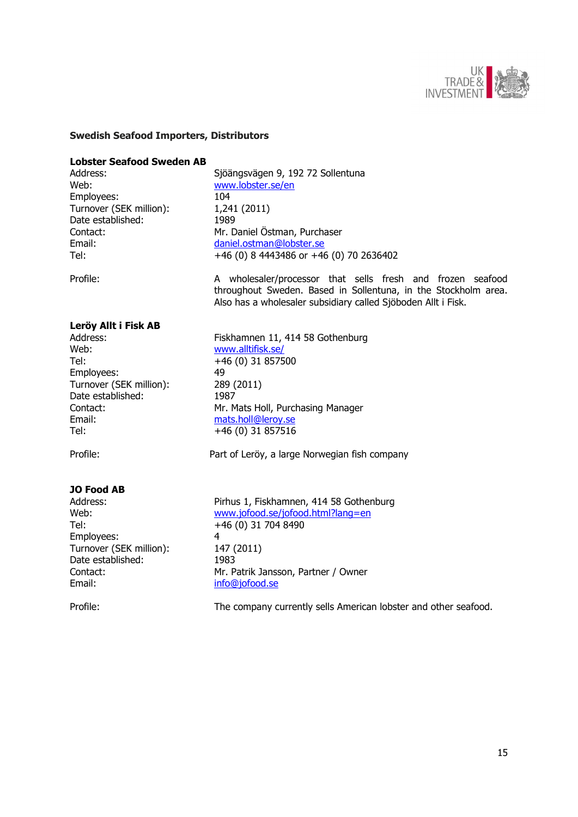

## <span id="page-14-0"></span>**Swedish Seafood Importers, Distributors**

#### **Lobster Seafood Sweden AB**

Web: [www.lobster.se/en](http://www.lobster.se/en) Employees: 104 Turnover (SEK million): 1,241 (2011) Date established: 1989

Address: Sjöängsvägen 9, 192 72 Sollentuna Contact: Mr. Daniel Östman, Purchaser Email: [daniel.ostman@lobster.se](mailto:daniel.ostman@lobster.se) Tel:  $+46(0) 8 4443486 \text{ or } +46(0) 70 2636402$ 

Profile: A wholesaler/processor that sells fresh and frozen seafood throughout Sweden. Based in Sollentuna, in the Stockholm area. Also has a wholesaler subsidiary called Sjöboden Allt i Fisk.

### **Leröy Allt i Fisk AB**

Web: [www.alltifisk.se/](http://www.alltifisk.se/) Tel: +46 (0) 31 857500 Employees: 49 Turnover (SEK million): 289 (2011) Date established: 1987 Email: [mats.holl@leroy.se](mailto:mats.holl@leroy.se) Tel: +46 (0) 31 857516

#### **JO Food AB**

Tel: +46 (0) 31 704 8490 Employees: 4 Turnover (SEK million): 147 (2011) Date established: 1983 Email: [info@jofood.se](mailto:info@jofood.se)

Address: Fiskhamnen 11, 414 58 Gothenburg Contact: Mr. Mats Holl, Purchasing Manager

Profile: Profile: Part of Leröy, a large Norwegian fish company

Address: Pirhus 1, Fiskhamnen, 414 58 Gothenburg Web: [www.jofood.se/jofood.html?lang=en](http://www.jofood.se/jofood.html?lang=en) Contact: Mr. Patrik Jansson, Partner / Owner

Profile: The company currently sells American lobster and other seafood.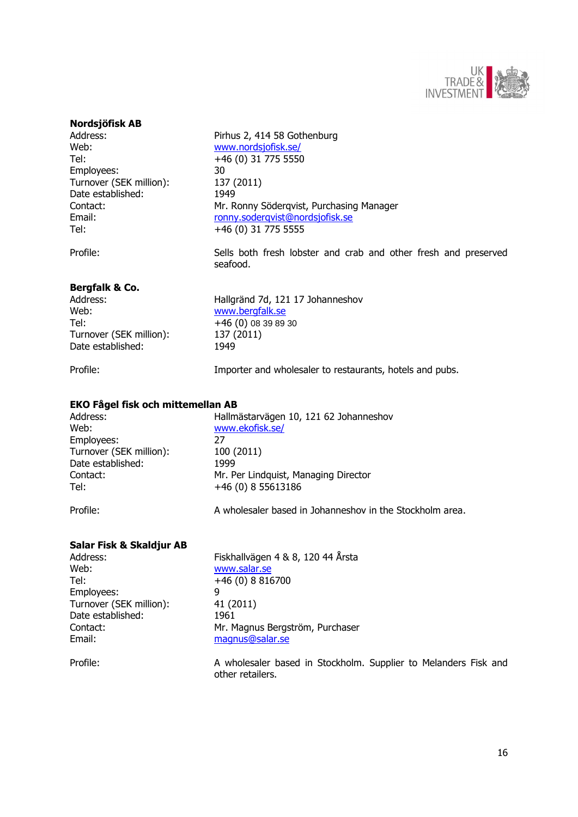

### **Nordsjöfisk AB**

Web: [www.nordsjofisk.se/](http://www.nordsjofisk.se/) Tel: +46 (0) 31 775 5550 Employees: 30 Turnover (SEK million): 137 (2011) Date established: 1949 Tel: +46 (0) 31 775 5555

Address: Pirhus 2, 414 58 Gothenburg Contact: Mr. Ronny Söderqvist, Purchasing Manager Email: [ronny.soderqvist@nordsjofisk.se](mailto:ronny.soderqvist@nordsjofisk.se)

Profile: Sells both fresh lobster and crab and other fresh and preserved seafood.

### **Bergfalk & Co.**

Web: [www.bergfalk.se](http://www.bergfalk.se/) Tel: +46 (0) 08 39 89 30 Turnover (SEK million): 137 (2011) Date established: 1949

Address: Hallgränd 7d, 121 17 Johanneshov

Profile: Importer and wholesaler to restaurants, hotels and pubs.

#### **EKO Fågel fisk och mittemellan AB**

Web: [www.ekofisk.se/](http://www.ekofisk.se/) Employees: 27 Turnover (SEK million): 100 (2011) Date established: 1999 Tel: +46 (0) 8 55613186

Address: Hallmästarvägen 10, 121 62 Johanneshov Contact: Mr. Per Lindquist, Managing Director

Profile: A wholesaler based in Johanneshov in the Stockholm area.

### **Salar Fisk & Skaldjur AB**

Web: [www.salar.se](http://www.salar.se/) Tel: +46 (0) 8 816700 Employees: 9 Turnover (SEK million): 41 (2011) Date established: 1961<br>
Contact: Mr. Mr. Mr. Mr. 2007 Email: [magnus@salar.se](mailto:magnus@salar.se)

Address: Fiskhallvägen 4 & 8, 120 44 Årsta Mr. Magnus Bergström, Purchaser

Profile: A wholesaler based in Stockholm. Supplier to Melanders Fisk and other retailers.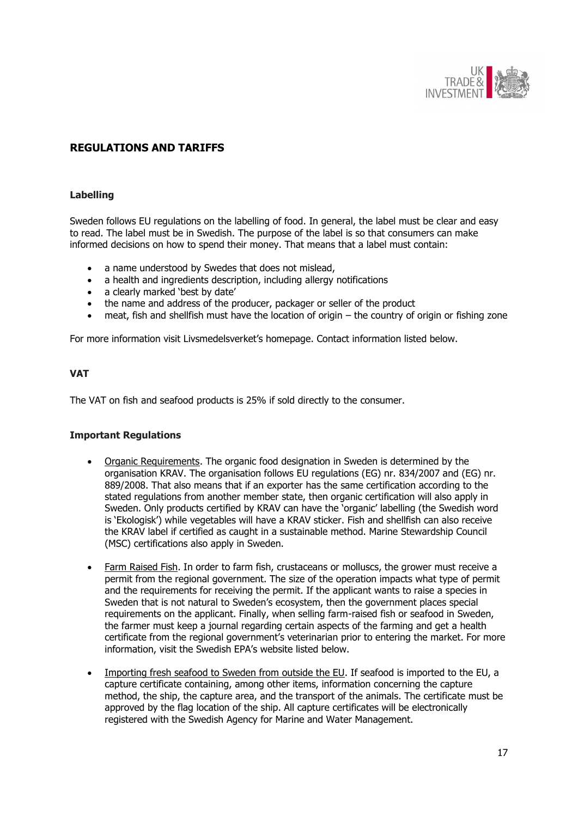

# <span id="page-16-0"></span>**REGULATIONS AND TARIFFS**

### <span id="page-16-1"></span>**Labelling**

Sweden follows EU regulations on the labelling of food. In general, the label must be clear and easy to read. The label must be in Swedish. The purpose of the label is so that consumers can make informed decisions on how to spend their money. That means that a label must contain:

- a name understood by Swedes that does not mislead,
- a health and ingredients description, including allergy notifications
- a clearly marked 'best by date'
- the name and address of the producer, packager or seller of the product
- meat, fish and shellfish must have the location of origin the country of origin or fishing zone

For more information visit Livsmedelsverket's homepage. Contact information listed below.

### <span id="page-16-2"></span>**VAT**

The VAT on fish and seafood products is 25% if sold directly to the consumer.

### <span id="page-16-3"></span>**Important Regulations**

- Organic Requirements. The organic food designation in Sweden is determined by the organisation KRAV. The organisation follows EU regulations (EG) nr. 834/2007 and (EG) nr. 889/2008. That also means that if an exporter has the same certification according to the stated regulations from another member state, then organic certification will also apply in Sweden. Only products certified by KRAV can have the 'organic' labelling (the Swedish word is 'Ekologisk') while vegetables will have a KRAV sticker. Fish and shellfish can also receive the KRAV label if certified as caught in a sustainable method. Marine Stewardship Council (MSC) certifications also apply in Sweden.
- Farm Raised Fish. In order to farm fish, crustaceans or molluscs, the grower must receive a permit from the regional government. The size of the operation impacts what type of permit and the requirements for receiving the permit. If the applicant wants to raise a species in Sweden that is not natural to Sweden's ecosystem, then the government places special requirements on the applicant. Finally, when selling farm-raised fish or seafood in Sweden, the farmer must keep a journal regarding certain aspects of the farming and get a health certificate from the regional government's veterinarian prior to entering the market. For more information, visit the Swedish EPA's website listed below.
- Importing fresh seafood to Sweden from outside the EU. If seafood is imported to the EU, a capture certificate containing, among other items, information concerning the capture method, the ship, the capture area, and the transport of the animals. The certificate must be approved by the flag location of the ship. All capture certificates will be electronically registered with the Swedish Agency for Marine and Water Management.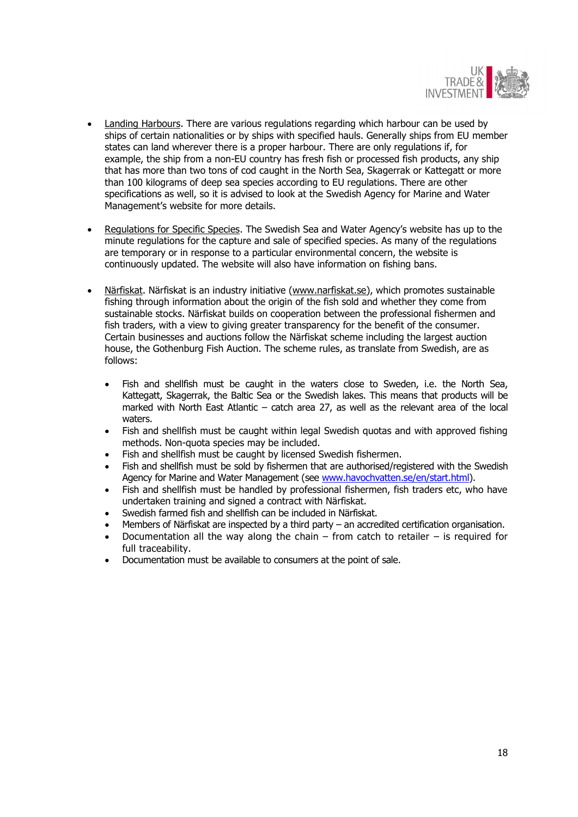

- Landing Harbours. There are various regulations regarding which harbour can be used by ships of certain nationalities or by ships with specified hauls. Generally ships from EU member states can land wherever there is a proper harbour. There are only regulations if, for example, the ship from a non-EU country has fresh fish or processed fish products, any ship that has more than two tons of cod caught in the North Sea, Skagerrak or Kattegatt or more than 100 kilograms of deep sea species according to EU regulations. There are other specifications as well, so it is advised to look at the Swedish Agency for Marine and Water Management's website for more details.
- Regulations for Specific Species. The Swedish Sea and Water Agency's website has up to the minute regulations for the capture and sale of specified species. As many of the regulations are temporary or in response to a particular environmental concern, the website is continuously updated. The website will also have information on fishing bans.
- Närfiskat. Närfiskat is an industry initiative [\(www.narfiskat.se\)](http://www.narfiskat.se/), which promotes sustainable fishing through information about the origin of the fish sold and whether they come from sustainable stocks. Närfiskat builds on cooperation between the professional fishermen and fish traders, with a view to giving greater transparency for the benefit of the consumer. Certain businesses and auctions follow the Närfiskat scheme including the largest auction house, the Gothenburg Fish Auction. The scheme rules, as translate from Swedish, are as follows:
	- Fish and shellfish must be caught in the waters close to Sweden, i.e. the North Sea, Kattegatt, Skagerrak, the Baltic Sea or the Swedish lakes. This means that products will be marked with North East Atlantic – catch area 27, as well as the relevant area of the local waters.
	- Fish and shellfish must be caught within legal Swedish quotas and with approved fishing methods. Non-quota species may be included.
	- Fish and shellfish must be caught by licensed Swedish fishermen.
	- Fish and shellfish must be sold by fishermen that are authorised/registered with the Swedish Agency for Marine and Water Management (see [www.havochvatten.se/en/start.html\)](http://www.havochvatten.se/en/start.html).
	- Fish and shellfish must be handled by professional fishermen, fish traders etc, who have undertaken training and signed a contract with Närfiskat.
	- Swedish farmed fish and shellfish can be included in Närfiskat.
	- Members of Närfiskat are inspected by a third party an accredited certification organisation.
	- Documentation all the way along the chain from catch to retailer is required for full traceability.
	- Documentation must be available to consumers at the point of sale.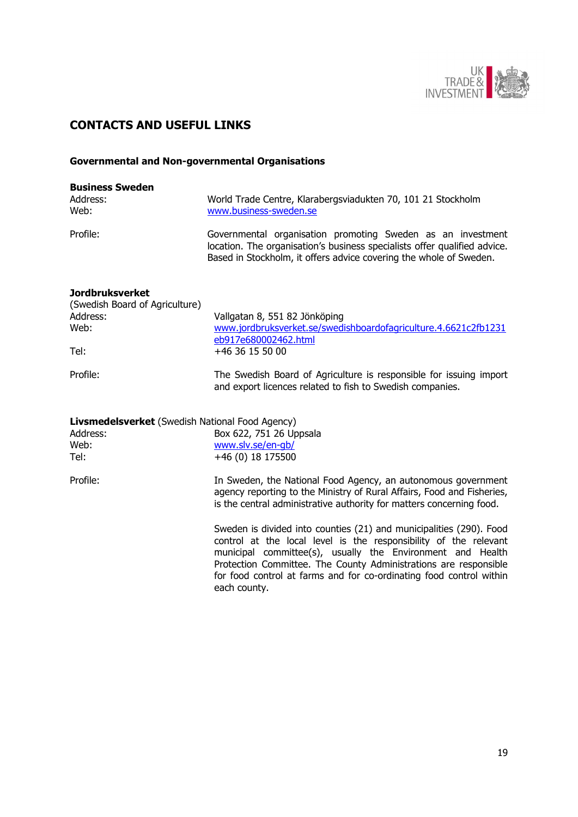

# <span id="page-18-0"></span>**CONTACTS AND USEFUL LINKS**

# <span id="page-18-1"></span>**Governmental and Non-governmental Organisations**

| <b>Business Sweden</b><br>Address:<br>Web:               | World Trade Centre, Klarabergsviadukten 70, 101 21 Stockholm<br>www.business-sweden.se                                                                                                                                                                                                                                                                           |
|----------------------------------------------------------|------------------------------------------------------------------------------------------------------------------------------------------------------------------------------------------------------------------------------------------------------------------------------------------------------------------------------------------------------------------|
| Profile:                                                 | Governmental organisation promoting Sweden as an investment<br>location. The organisation's business specialists offer qualified advice.<br>Based in Stockholm, it offers advice covering the whole of Sweden.                                                                                                                                                   |
| <b>Jordbruksverket</b><br>(Swedish Board of Agriculture) |                                                                                                                                                                                                                                                                                                                                                                  |
| Address:<br>Web:                                         | Vallgatan 8, 551 82 Jönköping<br>www.jordbruksverket.se/swedishboardofagriculture.4.6621c2fb1231<br>eb917e680002462.html                                                                                                                                                                                                                                         |
| Tel:                                                     | +46 36 15 50 00                                                                                                                                                                                                                                                                                                                                                  |
| Profile:                                                 | The Swedish Board of Agriculture is responsible for issuing import<br>and export licences related to fish to Swedish companies.                                                                                                                                                                                                                                  |
| <b>Livsmedelsverket</b> (Swedish National Food Agency)   |                                                                                                                                                                                                                                                                                                                                                                  |
| Address:                                                 | Box 622, 751 26 Uppsala                                                                                                                                                                                                                                                                                                                                          |
| Web:                                                     | www.slv.se/en-qb/                                                                                                                                                                                                                                                                                                                                                |
| Tel:                                                     | +46 (0) 18 175500                                                                                                                                                                                                                                                                                                                                                |
| Profile:                                                 | In Sweden, the National Food Agency, an autonomous government<br>agency reporting to the Ministry of Rural Affairs, Food and Fisheries,<br>is the central administrative authority for matters concerning food.                                                                                                                                                  |
|                                                          | Sweden is divided into counties (21) and municipalities (290). Food<br>control at the local level is the responsibility of the relevant<br>municipal committee(s), usually the Environment and Health<br>Protection Committee. The County Administrations are responsible<br>for food control at farms and for co-ordinating food control within<br>each county. |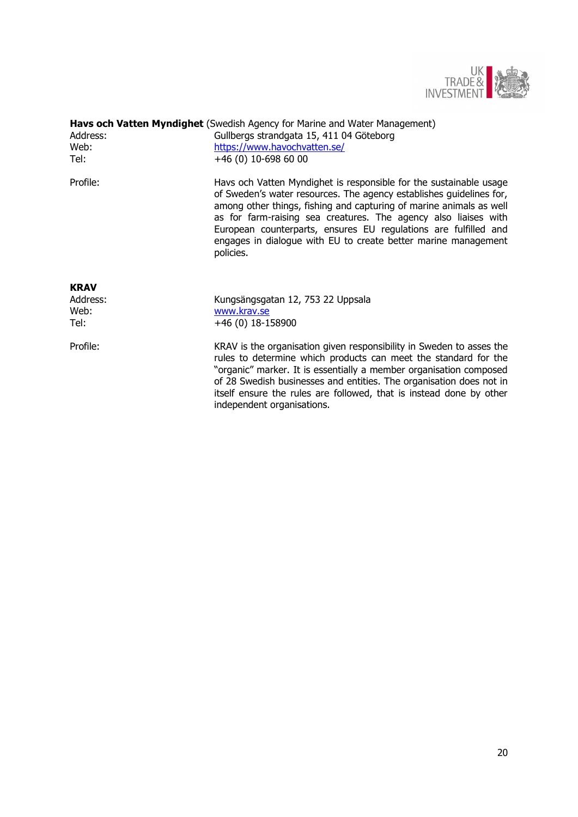

| Address:<br>Web:<br>Tel: | <b>Havs och Vatten Myndighet</b> (Swedish Agency for Marine and Water Management)<br>Gullbergs strandgata 15, 411 04 Göteborg<br>https://www.havochvatten.se/<br>+46 (0) 10-698 60 00                                                                                                                                                                                                                                                 |
|--------------------------|---------------------------------------------------------------------------------------------------------------------------------------------------------------------------------------------------------------------------------------------------------------------------------------------------------------------------------------------------------------------------------------------------------------------------------------|
| Profile:                 | Havs och Vatten Myndighet is responsible for the sustainable usage<br>of Sweden's water resources. The agency establishes guidelines for,<br>among other things, fishing and capturing of marine animals as well<br>as for farm-raising sea creatures. The agency also liaises with<br>European counterparts, ensures EU regulations are fulfilled and<br>engages in dialogue with EU to create better marine management<br>policies. |
| <b>KRAV</b>              |                                                                                                                                                                                                                                                                                                                                                                                                                                       |
| Address:                 | Kungsängsgatan 12, 753 22 Uppsala                                                                                                                                                                                                                                                                                                                                                                                                     |
| Web:<br>Tel:             | www.krav.se<br>+46 (0) 18-158900                                                                                                                                                                                                                                                                                                                                                                                                      |
|                          |                                                                                                                                                                                                                                                                                                                                                                                                                                       |
| Profile:                 | KRAV is the organisation given responsibility in Sweden to asses the<br>rules to determine which products can meet the standard for the<br>"organic" marker. It is essentially a member organisation composed<br>of 28 Swedish businesses and entities. The organisation does not in<br>itself ensure the rules are followed, that is instead done by other<br>independent organisations.                                             |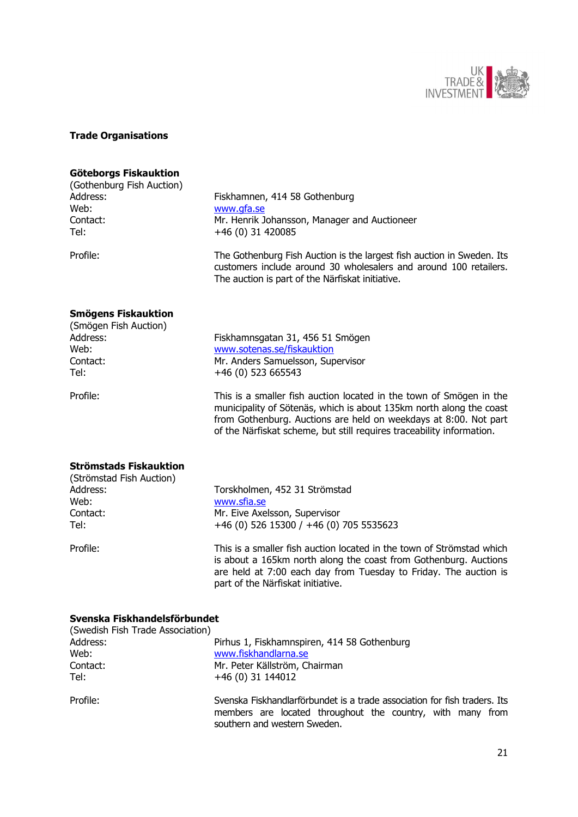

# <span id="page-20-0"></span>**Trade Organisations**

#### **Göteborgs Fiskauktion**

(Gothenburg Fish Auction) Web: [www.gfa.se](http://www.gfa.se/) Tel: +46 (0) 31 420085

Address: Fiskhamnen, 414 58 Gothenburg Contact: Mr. Henrik Johansson, Manager and Auctioneer

Profile: The Gothenburg Fish Auction is the largest fish auction in Sweden. Its customers include around 30 wholesalers and around 100 retailers. The auction is part of the Närfiskat initiative.

are held at 7:00 each day from Tuesday to Friday. The auction is

### **Smögens Fiskauktion**

| (Smögen Fish Auction) |                                                                                                                                                                                                                                                                                         |
|-----------------------|-----------------------------------------------------------------------------------------------------------------------------------------------------------------------------------------------------------------------------------------------------------------------------------------|
| Address:              | Fiskhamnsgatan 31, 456 51 Smögen                                                                                                                                                                                                                                                        |
| Web:                  | www.sotenas.se/fiskauktion                                                                                                                                                                                                                                                              |
| Contact:              | Mr. Anders Samuelsson, Supervisor                                                                                                                                                                                                                                                       |
| Tel:                  | +46 (0) 523 665543                                                                                                                                                                                                                                                                      |
| Profile:              | This is a smaller fish auction located in the town of Smögen in the<br>municipality of Sötenäs, which is about 135km north along the coast<br>from Gothenburg. Auctions are held on weekdays at 8:00. Not part<br>of the Närfiskat scheme, but still requires traceability information. |
|                       |                                                                                                                                                                                                                                                                                         |

#### **Strömstads Fiskauktion**

| (Strömstad Fish Auction) |                                                                                                                                           |
|--------------------------|-------------------------------------------------------------------------------------------------------------------------------------------|
| Address:                 | Torskholmen, 452 31 Strömstad                                                                                                             |
| Web:                     | www.sfia.se                                                                                                                               |
| Contact:                 | Mr. Eive Axelsson, Supervisor                                                                                                             |
| Tel:                     | +46 (0) 526 15300 / +46 (0) 705 5535623                                                                                                   |
| Profile:                 | This is a smaller fish auction located in the town of Strömstad which<br>is about a 165km north along the coast from Gothenburg. Auctions |

part of the Närfiskat initiative.

### **Svenska Fiskhandelsförbundet**

| (Swedish Fish Trade Association) |                                                                                                                                                                         |
|----------------------------------|-------------------------------------------------------------------------------------------------------------------------------------------------------------------------|
| Address:                         | Pirhus 1, Fiskhamnspiren, 414 58 Gothenburg                                                                                                                             |
| Web:                             | www.fiskhandlarna.se                                                                                                                                                    |
| Contact:                         | Mr. Peter Källström, Chairman                                                                                                                                           |
| Tel:                             | $+46(0)$ 31 144012                                                                                                                                                      |
| Profile:                         | Svenska Fiskhandlarförbundet is a trade association for fish traders. Its<br>members are located throughout the country, with many from<br>southern and western Sweden. |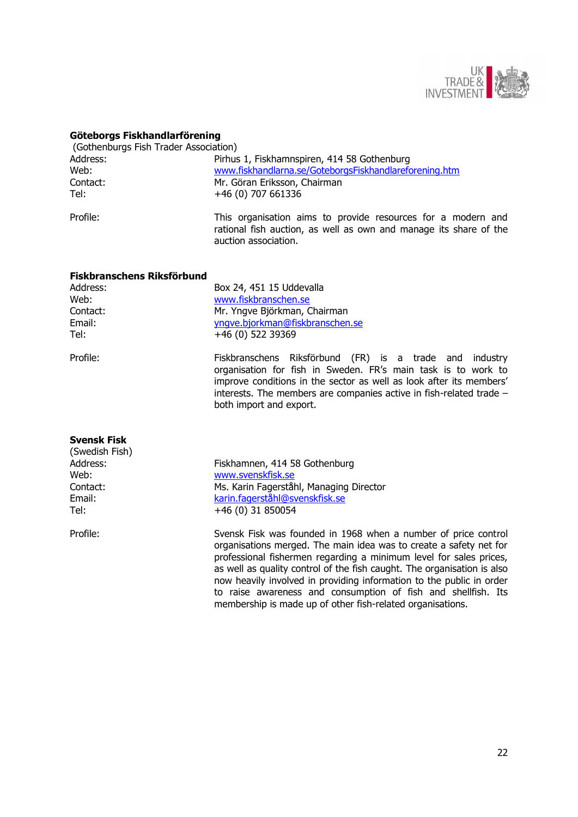

# **Göteborgs Fiskhandlarförening**

| (Gothenburgs Fish Trader Association) |                                                                                                                                                           |  |
|---------------------------------------|-----------------------------------------------------------------------------------------------------------------------------------------------------------|--|
| Address:                              | Pirhus 1, Fiskhamnspiren, 414 58 Gothenburg                                                                                                               |  |
| Web:                                  | www.fiskhandlarna.se/GoteborgsFiskhandlareforening.htm                                                                                                    |  |
| Contact:                              | Mr. Göran Eriksson, Chairman                                                                                                                              |  |
| Tel:                                  | +46 (0) 707 661336                                                                                                                                        |  |
| Profile:                              | This organisation aims to provide resources for a modern and<br>rational fish auction, as well as own and manage its share of the<br>auction association. |  |

#### **Fiskbranschens Riksförbund**

| Address: |  |
|----------|--|
| Web:     |  |
| Contact: |  |
| Email:   |  |
| Tel:     |  |

Box 24, 451 15 Uddevalla [www.fiskbranschen.se](http://www.fiskbranschen.se/) Mr. Yngve Björkman, Chairman yngve.bjorkman@fiskbranschen.se Tel: +46 (0) 522 39369

Profile: Fiskbranschens Riksförbund (FR) is a trade and industry organisation for fish in Sweden. FR's main task is to work to improve conditions in the sector as well as look after its members' interests. The members are companies active in fish-related trade – both import and export.

membership is made up of other fish-related organisations.

| <b>Svensk Fisk</b> |                                                                                                                                                                                                                                                                                                                                                               |
|--------------------|---------------------------------------------------------------------------------------------------------------------------------------------------------------------------------------------------------------------------------------------------------------------------------------------------------------------------------------------------------------|
| (Swedish Fish)     |                                                                                                                                                                                                                                                                                                                                                               |
| Address:           | Fiskhamnen, 414 58 Gothenburg                                                                                                                                                                                                                                                                                                                                 |
| Web:               | www.svenskfisk.se                                                                                                                                                                                                                                                                                                                                             |
| Contact:           | Ms. Karin Fagerståhl, Managing Director                                                                                                                                                                                                                                                                                                                       |
| Email:             | karin.fagerståhl@svenskfisk.se                                                                                                                                                                                                                                                                                                                                |
| Tel:               | $+46(0)$ 31 850054                                                                                                                                                                                                                                                                                                                                            |
| Profile:           | Svensk Fisk was founded in 1968 when a number of price control<br>organisations merged. The main idea was to create a safety net for<br>professional fishermen regarding a minimum level for sales prices,<br>as well as quality control of the fish caught. The organisation is also<br>now heavily involved in providing information to the public in order |
|                    | to raise awareness and consumption of fish and shellfish. Its                                                                                                                                                                                                                                                                                                 |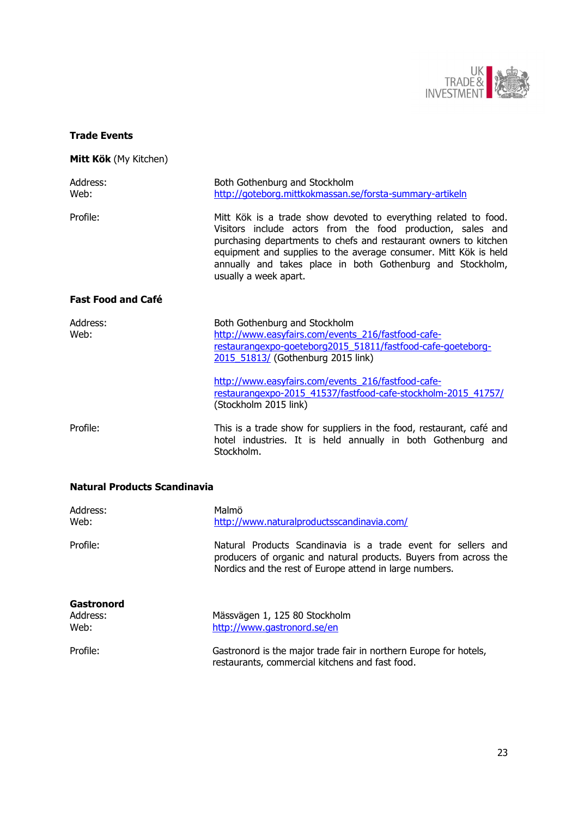

# <span id="page-22-0"></span>**Trade Events**

# **Mitt Kök** (My Kitchen)

| Address:<br>Web:          | Both Gothenburg and Stockholm<br>http://goteborg.mittkokmassan.se/forsta-summary-artikeln                                                                                                                                                                                                                                                                     |
|---------------------------|---------------------------------------------------------------------------------------------------------------------------------------------------------------------------------------------------------------------------------------------------------------------------------------------------------------------------------------------------------------|
| Profile:                  | Mitt Kök is a trade show devoted to everything related to food.<br>Visitors include actors from the food production, sales and<br>purchasing departments to chefs and restaurant owners to kitchen<br>equipment and supplies to the average consumer. Mitt Kök is held<br>annually and takes place in both Gothenburg and Stockholm,<br>usually a week apart. |
| <b>Fast Food and Café</b> |                                                                                                                                                                                                                                                                                                                                                               |
| Address:<br>Web:          | Both Gothenburg and Stockholm<br>http://www.easyfairs.com/events 216/fastfood-cafe-<br>restaurangexpo-goeteborg2015_51811/fastfood-cafe-goeteborg-<br>2015 51813/ (Gothenburg 2015 link)                                                                                                                                                                      |
|                           | http://www.easyfairs.com/events 216/fastfood-cafe-<br>restaurangexpo-2015 41537/fastfood-cafe-stockholm-2015 41757/<br>(Stockholm 2015 link)                                                                                                                                                                                                                  |
| Profile:                  | This is a trade show for suppliers in the food, restaurant, café and<br>hotel industries. It is held annually in both Gothenburg and<br>Stockholm.                                                                                                                                                                                                            |

# **Natural Products Scandinavia**

| Address:<br>Web: | Malmö<br>http://www.naturalproductsscandinavia.com/                                                                                                                                           |
|------------------|-----------------------------------------------------------------------------------------------------------------------------------------------------------------------------------------------|
| Profile:         | Natural Products Scandinavia is a trade event for sellers and<br>producers of organic and natural products. Buyers from across the<br>Nordics and the rest of Europe attend in large numbers. |
| Gastronord       |                                                                                                                                                                                               |
| Address:         | Mässvägen 1, 125 80 Stockholm                                                                                                                                                                 |
| Web:             | http://www.gastronord.se/en                                                                                                                                                                   |
| Profile:         | Gastronord is the major trade fair in northern Europe for hotels,<br>restaurants, commercial kitchens and fast food.                                                                          |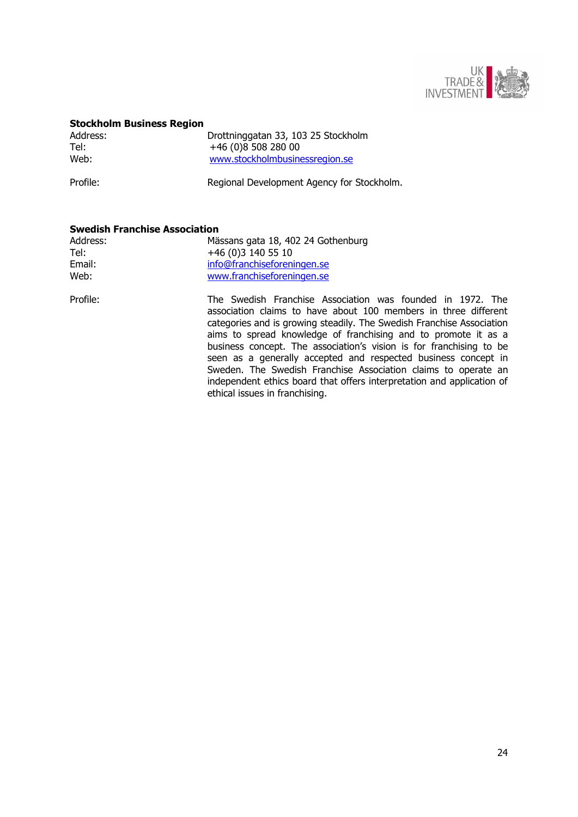

#### **Stockholm Business Region**

| Address: | Drottninggatan 33, 103 25 Stockholm |
|----------|-------------------------------------|
| Tel:     | +46 (0)8 508 280 00                 |
| Web:     | www.stockholmbusinessregion.se      |
|          |                                     |

Profile: Regional Development Agency for Stockholm.

# **Swedish Franchise Association**

| Address: | Mässans gata 18, 402 24 Gothenburg |
|----------|------------------------------------|
| Tel:     | +46 (0)3 140 55 10                 |
| Email:   | info@franchiseforeningen.se        |
| Web:     | www.franchiseforeningen.se         |

Profile: The Swedish Franchise Association was founded in 1972. The association claims to have about 100 members in three different categories and is growing steadily. The Swedish Franchise Association aims to spread knowledge of franchising and to promote it as a business concept. The association's vision is for franchising to be seen as a generally accepted and respected business concept in Sweden. The Swedish Franchise Association claims to operate an independent ethics board that offers interpretation and application of ethical issues in franchising.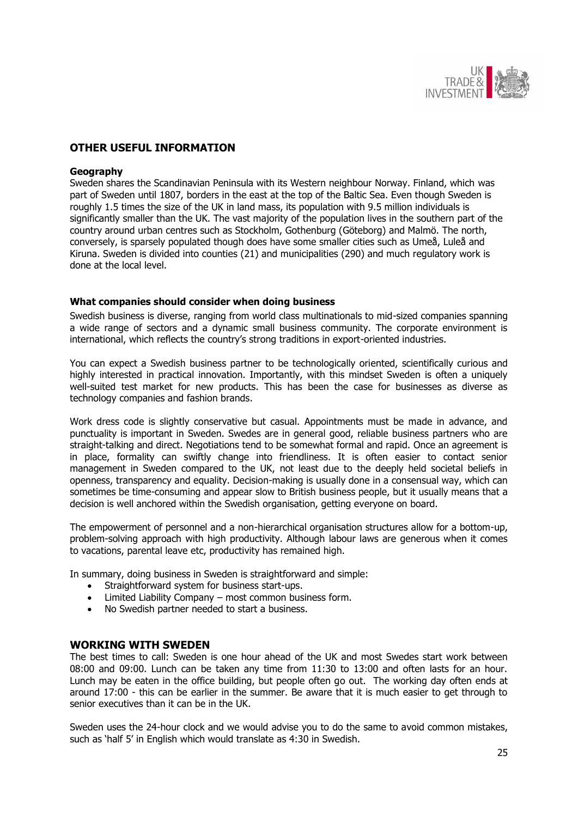

# <span id="page-24-0"></span>**OTHER USEFUL INFORMATION**

#### **Geography**

Sweden shares the Scandinavian Peninsula with its Western neighbour Norway. Finland, which was part of Sweden until 1807, borders in the east at the top of the Baltic Sea. Even though Sweden is roughly 1.5 times the size of the UK in land mass, its population with 9.5 million individuals is significantly smaller than the UK. The vast majority of the population lives in the southern part of the country around urban centres such as Stockholm, Gothenburg (Göteborg) and Malmö. The north, conversely, is sparsely populated though does have some smaller cities such as Umeå, Luleå and Kiruna. Sweden is divided into counties (21) and municipalities (290) and much regulatory work is done at the local level.

#### <span id="page-24-1"></span>**What companies should consider when doing business**

Swedish business is diverse, ranging from world class multinationals to mid-sized companies spanning a wide range of sectors and a dynamic small business community. The corporate environment is international, which reflects the country's strong traditions in export-oriented industries.

You can expect a Swedish business partner to be technologically oriented, scientifically curious and highly interested in practical innovation. Importantly, with this mindset Sweden is often a uniquely well-suited test market for new products. This has been the case for businesses as diverse as technology companies and fashion brands.

Work dress code is slightly conservative but casual. Appointments must be made in advance, and punctuality is important in Sweden. Swedes are in general good, reliable business partners who are straight-talking and direct. Negotiations tend to be somewhat formal and rapid. Once an agreement is in place, formality can swiftly change into friendliness. It is often easier to contact senior management in Sweden compared to the UK, not least due to the deeply held societal beliefs in openness, transparency and equality. Decision-making is usually done in a consensual way, which can sometimes be time-consuming and appear slow to British business people, but it usually means that a decision is well anchored within the Swedish organisation, getting everyone on board.

The empowerment of personnel and a non-hierarchical organisation structures allow for a bottom-up, problem-solving approach with high productivity. Although labour laws are generous when it comes to vacations, parental leave etc, productivity has remained high.

In summary, doing business in Sweden is straightforward and simple:

- Straightforward system for business start-ups.
- Limited Liability Company most common business form.
- <span id="page-24-2"></span>No Swedish partner needed to start a business.

### **WORKING WITH SWEDEN**

The best times to call: Sweden is one hour ahead of the UK and most Swedes start work between 08:00 and 09:00. Lunch can be taken any time from 11:30 to 13:00 and often lasts for an hour. Lunch may be eaten in the office building, but people often go out. The working day often ends at around 17:00 - this can be earlier in the summer. Be aware that it is much easier to get through to senior executives than it can be in the UK.

Sweden uses the 24-hour clock and we would advise you to do the same to avoid common mistakes, such as 'half 5' in English which would translate as 4:30 in Swedish.